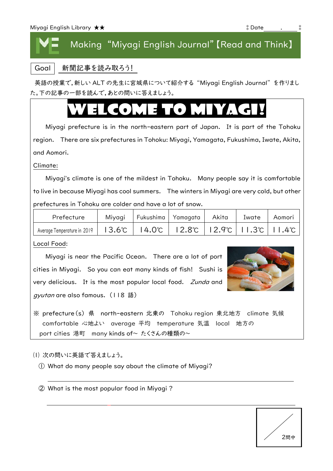## Making "Miyagi English Journal"【Read and Think】

Goal 新聞記事を読み取ろう!

英語の授業で,新しい ALT の先生に宮城県について紹介する "Miyagi English Journal"を作りまし た。下の記事の一部を読んで,あとの問いに答えましょう。

## WELCOME TO MIX

Miyagi prefecture is in the north-eastern part of Japan. It is part of the Tohoku region. There are six prefectures in Tohoku: Miyagi, Yamagata, Fukushima, Iwate, Akita, and Aomori.

Climate:

Miyagi's climate is one of the mildest in Tohoku. Many people say it is comfortable to live in because Miyagi has cool summers. The winters in Miyagi are very cold, but other prefectures in Tohoku are colder and have a lot of snow.

| Prefecture                  | Miyagi   Fukushima   Yamagata |                                                                                                          | Akita | Iwate | Aomori |
|-----------------------------|-------------------------------|----------------------------------------------------------------------------------------------------------|-------|-------|--------|
| Average Temperature in 2019 |                               | $13.6^{\circ}$   14.0 $^{\circ}$   12.8 $^{\circ}$   12.9 $^{\circ}$   11.3 $^{\circ}$   11.4 $^{\circ}$ |       |       |        |

Local Food:

Miyagi is near the Pacific Ocean. There are a lot of port cities in Miyagi. So you can eat many kinds of fish! Sushi is very delicious. It is the most popular local food. Zunda and gyutan are also famous. (118 語)



※ prefecture(s) 県 north-eastern 北東の Tohoku region 東北地方 climate 気候 comfortable 心地よい average 平均 temperature 気温 local 地方の port cities 港町 many kinds of~ たくさんの種類の~

(1) 次の問いに英語で答えましょう。

① What do many people say about the climate of Miyagi?

② What is the most popular food in Miyagi ?